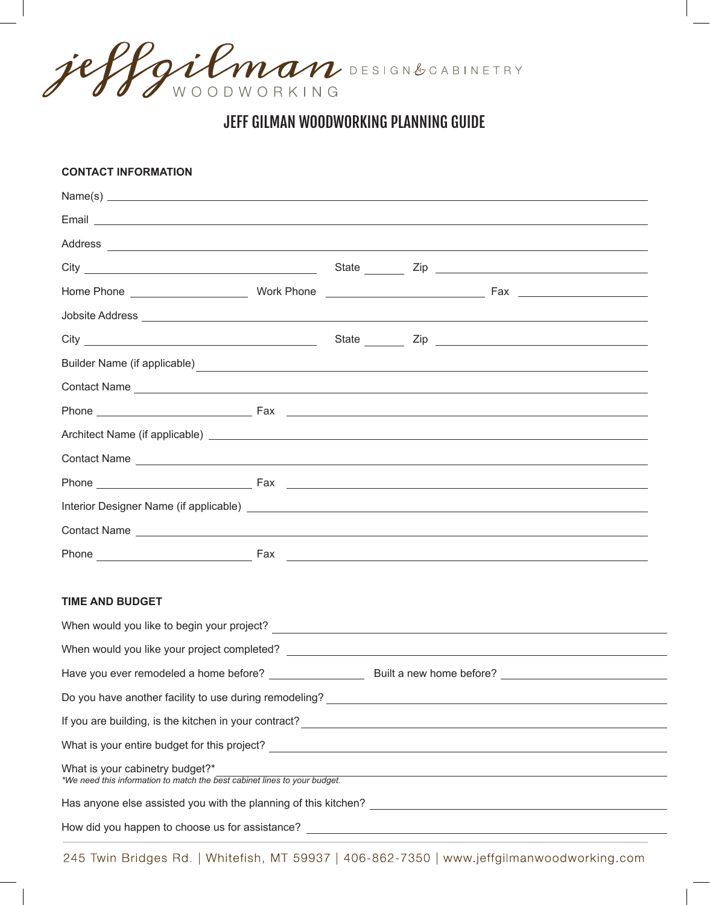jeffgilman DESIGNBCABINETRY

## JEFF GILMAN WOODWORKING PLANNING GUIDE

| <b>CONTACT INFORMATION</b>                                                                                                                                                                                                           |  |  |  |                                                                                                                       |  |
|--------------------------------------------------------------------------------------------------------------------------------------------------------------------------------------------------------------------------------------|--|--|--|-----------------------------------------------------------------------------------------------------------------------|--|
| Name(s)                                                                                                                                                                                                                              |  |  |  |                                                                                                                       |  |
| Email <b>Executive Contract Contract Contract Contract Contract Contract Contract Contract Contract Contract Contract Contract Contract Contract Contract Contract Contract Contract Contract Contract Contract Contract Contrac</b> |  |  |  |                                                                                                                       |  |
|                                                                                                                                                                                                                                      |  |  |  |                                                                                                                       |  |
|                                                                                                                                                                                                                                      |  |  |  |                                                                                                                       |  |
|                                                                                                                                                                                                                                      |  |  |  |                                                                                                                       |  |
|                                                                                                                                                                                                                                      |  |  |  |                                                                                                                       |  |
|                                                                                                                                                                                                                                      |  |  |  |                                                                                                                       |  |
| Builder Name (if applicable) expression of the state of the state of the state of the state of the state of the state of the state of the state of the state of the state of the state of the state of the state of the state        |  |  |  |                                                                                                                       |  |
| Contact Name experience and the control of the control of the control of the control of the control of the control of the control of the control of the control of the control of the control of the control of the control of       |  |  |  |                                                                                                                       |  |
|                                                                                                                                                                                                                                      |  |  |  |                                                                                                                       |  |
|                                                                                                                                                                                                                                      |  |  |  |                                                                                                                       |  |
| Contact Name Lawrence and Contact Name Lawrence and Contact Name Lawrence and Contact Name Lawrence and Contact Name Lawrence and Contact Name Lawrence and Contact Name Lawrence and Contact Name Lawrence and Contact Name L       |  |  |  |                                                                                                                       |  |
|                                                                                                                                                                                                                                      |  |  |  |                                                                                                                       |  |
|                                                                                                                                                                                                                                      |  |  |  |                                                                                                                       |  |
|                                                                                                                                                                                                                                      |  |  |  |                                                                                                                       |  |
|                                                                                                                                                                                                                                      |  |  |  |                                                                                                                       |  |
|                                                                                                                                                                                                                                      |  |  |  |                                                                                                                       |  |
| <b>TIME AND BUDGET</b>                                                                                                                                                                                                               |  |  |  |                                                                                                                       |  |
|                                                                                                                                                                                                                                      |  |  |  |                                                                                                                       |  |
| When would you like your project completed?                                                                                                                                                                                          |  |  |  |                                                                                                                       |  |
|                                                                                                                                                                                                                                      |  |  |  |                                                                                                                       |  |
|                                                                                                                                                                                                                                      |  |  |  |                                                                                                                       |  |
| If you are building, is the kitchen in your contract?<br><u> and the contract</u> of the contract of the contract of the contract of the contract of the contract of the contract of the contract of the contract of the contract of |  |  |  |                                                                                                                       |  |
|                                                                                                                                                                                                                                      |  |  |  |                                                                                                                       |  |
| What is your cabinetry budget?*<br>*We need this information to match the best cabinet lines to your budget.                                                                                                                         |  |  |  | <u> 1980 - Johann Barbara, martin da basar a shekara 1980 - An tsara 1980 - An tsara 1980 - An tsara 1980 - An ts</u> |  |
|                                                                                                                                                                                                                                      |  |  |  |                                                                                                                       |  |
| How did you happen to choose us for assistance? ________________________________                                                                                                                                                     |  |  |  |                                                                                                                       |  |

245 Twin Bridges Rd. | Whitefish, MT 59937 | 406-862-7350 | www.jeffgilmanwoodworking.com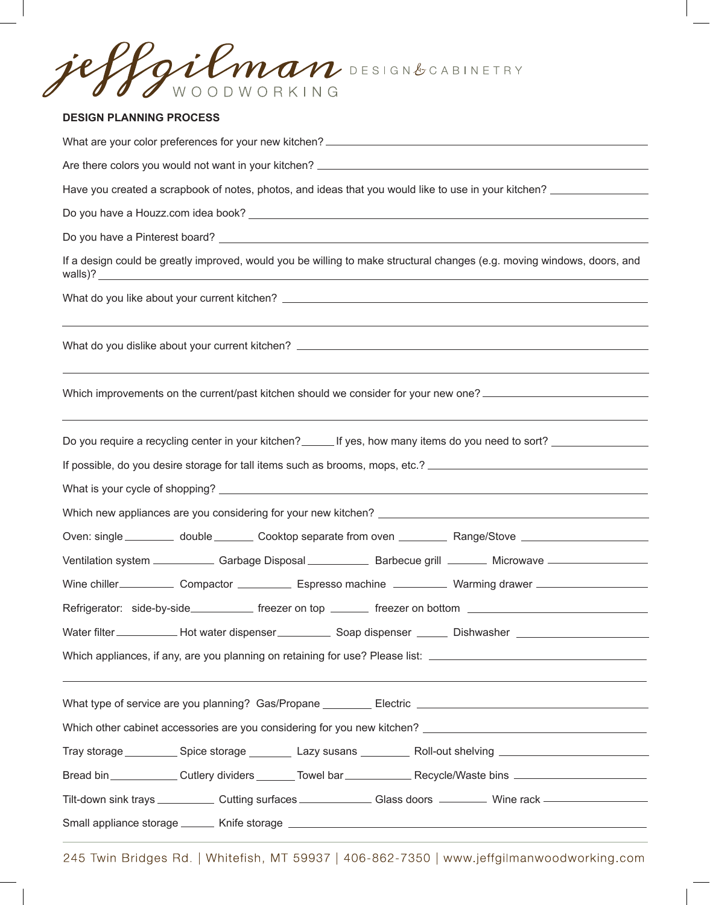Gilman DESIGNBCABINETRY WOODWORKING

## **DESIGN PLANNING PROCESS**

| Have you created a scrapbook of notes, photos, and ideas that you would like to use in your kitchen? _______________                                                    |  |  |  |  |  |
|-------------------------------------------------------------------------------------------------------------------------------------------------------------------------|--|--|--|--|--|
|                                                                                                                                                                         |  |  |  |  |  |
|                                                                                                                                                                         |  |  |  |  |  |
| If a design could be greatly improved, would you be willing to make structural changes (e.g. moving windows, doors, and                                                 |  |  |  |  |  |
|                                                                                                                                                                         |  |  |  |  |  |
|                                                                                                                                                                         |  |  |  |  |  |
| Which improvements on the current/past kitchen should we consider for your new one?<br>,我们也不能会在这里,我们的人们就会不能会在这里,我们也不能会不能会不能会不能会不能会不能会不能会。""我们的人们,我们也不能会不能会不能会不能会不能会不能会不 |  |  |  |  |  |
| Do you require a recycling center in your kitchen? _______ If yes, how many items do you need to sort? _______________                                                  |  |  |  |  |  |
|                                                                                                                                                                         |  |  |  |  |  |
|                                                                                                                                                                         |  |  |  |  |  |
| Oven: single _________ double _______ Cooktop separate from oven _________ Range/Stove ___________________                                                              |  |  |  |  |  |
| Ventilation system ______________ Garbage Disposal _____________ Barbecue grill ________ Microwave ____________                                                         |  |  |  |  |  |
| Wine chiller_______________ Compactor _____________ Espresso machine ____________ Warming drawer ________________                                                       |  |  |  |  |  |
| Refrigerator: side-by-side_____________ freezer on top ________ freezer on bottom ____________________________                                                          |  |  |  |  |  |
| Water filter _____________ Hot water dispenser ____________ Soap dispenser _______ Dishwasher ______________________                                                    |  |  |  |  |  |
| ,我们也不会有什么?""我们的人,我们也不会有什么?""我们的人,我们也不会有什么?""我们的人,我们也不会有什么?""我们的人,我们也不会有什么?""我们的人                                                                                        |  |  |  |  |  |
|                                                                                                                                                                         |  |  |  |  |  |
|                                                                                                                                                                         |  |  |  |  |  |
| Tray storage ____________ Spice storage __________ Lazy susans ____________ Roll-out shelving ______________________                                                    |  |  |  |  |  |
| Bread bin ______________Cutlery dividers ________Towel bar _______________Recycle/Waste bins _______________________                                                    |  |  |  |  |  |
| Tilt-down sink trays ____________ Cutting surfaces ________________ Glass doors __________ Wine rack __________________________________                                 |  |  |  |  |  |
| Small appliance storage _______ Knife storage ___________________________________                                                                                       |  |  |  |  |  |

245 Twin Bridges Rd. | Whitefish, MT 59937 | 406-862-7350 | www.jeffgilmanwoodworking.com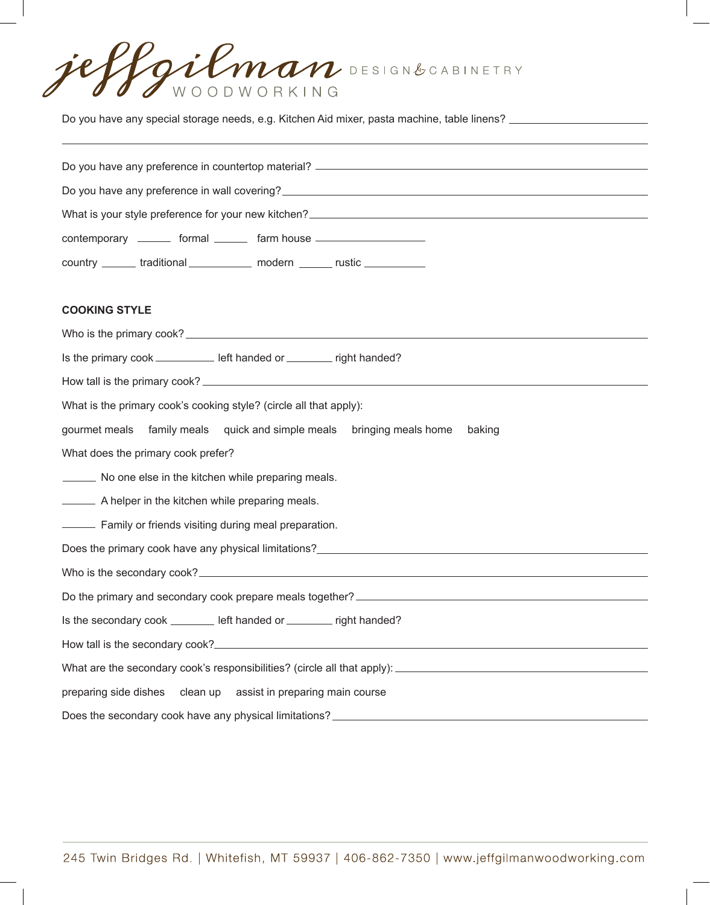Gilman DESIGN&CABINETRY WOODWORKING

Do you have any special storage needs, e.g. Kitchen Aid mixer, pasta machine, table linens? \_\_\_\_\_\_\_\_\_\_\_\_\_\_\_\_\_\_

| Do you have any preference in wall covering?<br><u> Loom and the contract of the contract of the contract of the contract of the contract of the contract of the contract of the contract of the contract of the contract of the c</u> |  |  |  |  |
|----------------------------------------------------------------------------------------------------------------------------------------------------------------------------------------------------------------------------------------|--|--|--|--|
|                                                                                                                                                                                                                                        |  |  |  |  |
| contemporary ________ formal _______ farm house ________________________________                                                                                                                                                       |  |  |  |  |
| country _______ traditional ____________ modern ______ rustic ___________                                                                                                                                                              |  |  |  |  |

## **COOKING STYLE**

| Is the primary cook ____________ left handed or ________ right handed?            |  |  |  |  |  |
|-----------------------------------------------------------------------------------|--|--|--|--|--|
|                                                                                   |  |  |  |  |  |
| What is the primary cook's cooking style? (circle all that apply):                |  |  |  |  |  |
| gourmet meals family meals quick and simple meals bringing meals home<br>baking   |  |  |  |  |  |
| What does the primary cook prefer?                                                |  |  |  |  |  |
| No one else in the kitchen while preparing meals.                                 |  |  |  |  |  |
| A helper in the kitchen while preparing meals.                                    |  |  |  |  |  |
| - Family or friends visiting during meal preparation.                             |  |  |  |  |  |
|                                                                                   |  |  |  |  |  |
|                                                                                   |  |  |  |  |  |
|                                                                                   |  |  |  |  |  |
| Is the secondary cook ________ left handed or _______ right handed?               |  |  |  |  |  |
|                                                                                   |  |  |  |  |  |
|                                                                                   |  |  |  |  |  |
| preparing side dishes clean up assist in preparing main course                    |  |  |  |  |  |
| Does the secondary cook have any physical limitations? __________________________ |  |  |  |  |  |